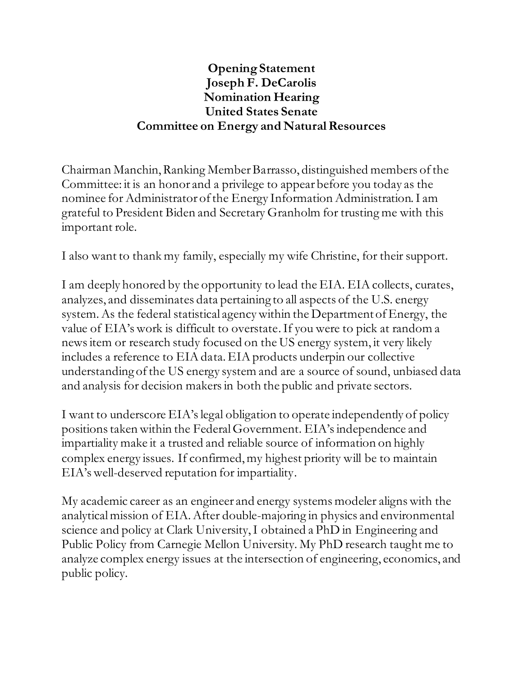## **Opening Statement Joseph F. DeCarolis Nomination Hearing United States Senate Committee on Energy and Natural Resources**

Chairman Manchin, Ranking Member Barrasso, distinguished members of the Committee: it is an honor and a privilege to appear before you today as the nominee for Administrator of the Energy Information Administration. I am grateful to President Biden and Secretary Granholm for trusting me with this important role.

I also want to thank my family, especially my wife Christine, for their support.

I am deeply honored by the opportunity to lead the EIA. EIA collects, curates, analyzes, and disseminates data pertaining to all aspects of the U.S. energy system. As the federal statistical agency within the Department of Energy, the value of EIA's work is difficult to overstate. If you were to pick at random a news item or research study focused on the US energy system, it very likely includes a reference to EIA data. EIA products underpin our collective understanding of the US energy system and are a source of sound, unbiased data and analysis for decision makers in both the public and private sectors.

I want to underscore EIA'slegal obligation to operate independently of policy positions taken within the Federal Government. EIA's independence and impartiality make it a trusted and reliable source of information on highly complex energy issues. If confirmed, my highest priority will be to maintain EIA's well-deserved reputation for impartiality.

My academic career as an engineer and energy systems modeler alignswith the analytical mission of EIA.After double-majoring in physics and environmental science and policy at Clark University, I obtained a PhD in Engineering and Public Policy from Carnegie Mellon University. My PhD research taught me to analyze complex energy issues at the intersection of engineering, economics, and public policy.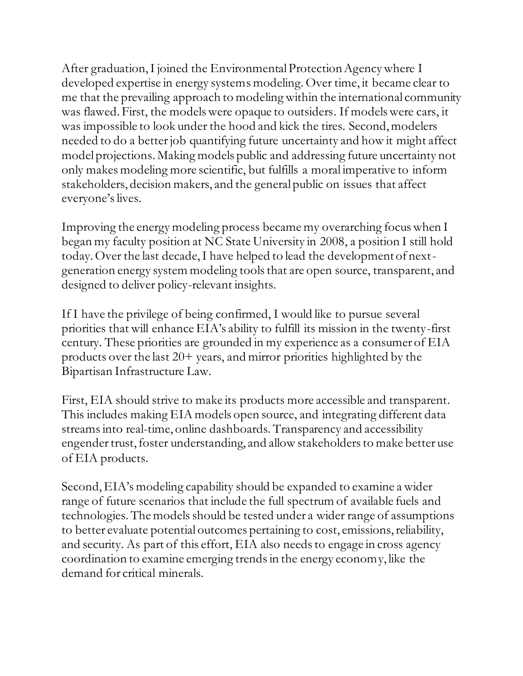After graduation, I joined the Environmental Protection Agency where I developed expertise in energy systems modeling. Over time, it became clear to me that the prevailing approach to modeling within the international community was flawed. First, the models were opaque to outsiders. If models were cars, it was impossible to look under the hood and kick the tires. Second, modelers needed to do a better job quantifying future uncertainty and how it might affect model projections. Making models public and addressing future uncertainty not only makes modeling more scientific, but fulfills a moral imperative to inform stakeholders, decision makers, and the general public on issues that affect everyone's lives.

Improving the energy modeling process became my overarching focus when I began my faculty position at NC State University in 2008, a position I still hold today.Over the last decade, I have helped to lead the development of nextgeneration energy system modeling tools that are open source, transparent, and designed to deliver policy-relevant insights.

If I have the privilege of being confirmed, I would like to pursue several priorities that will enhance EIA's ability to fulfill its mission in the twenty-first century. These priorities are grounded in my experience as a consumer of EIA products over the last 20+ years, and mirror priorities highlighted by the Bipartisan Infrastructure Law.

First, EIA should strive to make its products more accessible and transparent. This includes making EIA models open source, and integrating different data streams into real-time, online dashboards. Transparency and accessibility engender trust, foster understanding, and allow stakeholders to make better use of EIA products.

Second, EIA's modeling capability should be expanded to examine a wider range of future scenarios that include the full spectrum of available fuels and technologies. The models should be tested under a wider range of assumptions to better evaluate potential outcomes pertaining to cost, emissions, reliability, and security. As part of this effort, EIA also needs to engage in cross agency coordination to examine emerging trends in the energy economy, like the demand for critical minerals.